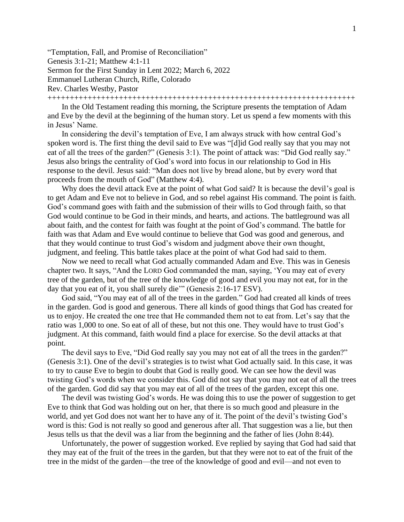"Temptation, Fall, and Promise of Reconciliation" Genesis 3:1-21; Matthew 4:1-11 Sermon for the First Sunday in Lent 2022; March 6, 2022 Emmanuel Lutheran Church, Rifle, Colorado Rev. Charles Westby, Pastor +++++++++++++++++++++++++++++++++++++++++++++++++++++++++++++++++++++

In the Old Testament reading this morning, the Scripture presents the temptation of Adam and Eve by the devil at the beginning of the human story. Let us spend a few moments with this in Jesus' Name.

In considering the devil's temptation of Eve, I am always struck with how central God's spoken word is. The first thing the devil said to Eve was "[d]id God really say that you may not eat of all the trees of the garden?" (Genesis 3:1). The point of attack was: "Did God really say." Jesus also brings the centrality of God's word into focus in our relationship to God in His response to the devil. Jesus said: "Man does not live by bread alone, but by every word that proceeds from the mouth of God" (Matthew 4:4).

Why does the devil attack Eve at the point of what God said? It is because the devil's goal is to get Adam and Eve not to believe in God, and so rebel against His command. The point is faith. God's command goes with faith and the submission of their wills to God through faith, so that God would continue to be God in their minds, and hearts, and actions. The battleground was all about faith, and the contest for faith was fought at the point of God's command. The battle for faith was that Adam and Eve would continue to believe that God was good and generous, and that they would continue to trust God's wisdom and judgment above their own thought, judgment, and feeling. This battle takes place at the point of what God had said to them.

Now we need to recall what God actually commanded Adam and Eve. This was in Genesis chapter two. It says, "And the LORD God commanded the man, saying, 'You may eat of every tree of the garden, but of the tree of the knowledge of good and evil you may not eat, for in the day that you eat of it, you shall surely die'" (Genesis 2:16-17 ESV).

God said, "You may eat of all of the trees in the garden." God had created all kinds of trees in the garden. God is good and generous. There all kinds of good things that God has created for us to enjoy. He created the one tree that He commanded them not to eat from. Let's say that the ratio was 1,000 to one. So eat of all of these, but not this one. They would have to trust God's judgment. At this command, faith would find a place for exercise. So the devil attacks at that point.

The devil says to Eve, "Did God really say you may not eat of all the trees in the garden?" (Genesis 3:1). One of the devil's strategies is to twist what God actually said. In this case, it was to try to cause Eve to begin to doubt that God is really good. We can see how the devil was twisting God's words when we consider this. God did not say that you may not eat of all the trees of the garden. God did say that you may eat of all of the trees of the garden, except this one.

The devil was twisting God's words. He was doing this to use the power of suggestion to get Eve to think that God was holding out on her, that there is so much good and pleasure in the world, and yet God does not want her to have any of it. The point of the devil's twisting God's word is this: God is not really so good and generous after all. That suggestion was a lie, but then Jesus tells us that the devil was a liar from the beginning and the father of lies (John 8:44).

Unfortunately, the power of suggestion worked. Eve replied by saying that God had said that they may eat of the fruit of the trees in the garden, but that they were not to eat of the fruit of the tree in the midst of the garden—the tree of the knowledge of good and evil—and not even to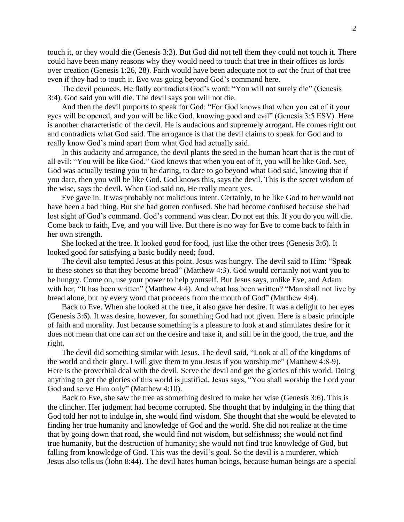touch it, or they would die (Genesis 3:3). But God did not tell them they could not touch it. There could have been many reasons why they would need to touch that tree in their offices as lords over creation (Genesis 1:26, 28). Faith would have been adequate not to *eat* the fruit of that tree even if they had to touch it. Eve was going beyond God's command here.

The devil pounces. He flatly contradicts God's word: "You will not surely die" (Genesis 3:4). God said you will die. The devil says you will not die.

And then the devil purports to speak for God: "For God knows that when you eat of it your eyes will be opened, and you will be like God, knowing good and evil" (Genesis 3:5 ESV). Here is another characteristic of the devil. He is audacious and supremely arrogant. He comes right out and contradicts what God said. The arrogance is that the devil claims to speak for God and to really know God's mind apart from what God had actually said.

In this audacity and arrogance, the devil plants the seed in the human heart that is the root of all evil: "You will be like God." God knows that when you eat of it, you will be like God. See, God was actually testing you to be daring, to dare to go beyond what God said, knowing that if you dare, then you will be like God. God knows this, says the devil. This is the secret wisdom of the wise, says the devil. When God said no, He really meant yes.

Eve gave in. It was probably not malicious intent. Certainly, to be like God to her would not have been a bad thing. But she had gotten confused. She had become confused because she had lost sight of God's command. God's command was clear. Do not eat this. If you do you will die. Come back to faith, Eve, and you will live. But there is no way for Eve to come back to faith in her own strength.

She looked at the tree. It looked good for food, just like the other trees (Genesis 3:6). It looked good for satisfying a basic bodily need; food.

The devil also tempted Jesus at this point. Jesus was hungry. The devil said to Him: "Speak to these stones so that they become bread" (Matthew 4:3). God would certainly not want you to be hungry. Come on, use your power to help yourself. But Jesus says, unlike Eve, and Adam with her, "It has been written" (Matthew 4:4). And what has been written? "Man shall not live by bread alone, but by every word that proceeds from the mouth of God" (Matthew 4:4).

Back to Eve. When she looked at the tree, it also gave her desire. It was a delight to her eyes (Genesis 3:6). It was desire, however, for something God had not given. Here is a basic principle of faith and morality. Just because something is a pleasure to look at and stimulates desire for it does not mean that one can act on the desire and take it, and still be in the good, the true, and the right.

The devil did something similar with Jesus. The devil said, "Look at all of the kingdoms of the world and their glory. I will give them to you Jesus if you worship me" (Matthew 4:8-9). Here is the proverbial deal with the devil. Serve the devil and get the glories of this world. Doing anything to get the glories of this world is justified. Jesus says, "You shall worship the Lord your God and serve Him only" (Matthew 4:10).

Back to Eve, she saw the tree as something desired to make her wise (Genesis 3:6). This is the clincher. Her judgment had become corrupted. She thought that by indulging in the thing that God told her not to indulge in, she would find wisdom. She thought that she would be elevated to finding her true humanity and knowledge of God and the world. She did not realize at the time that by going down that road, she would find not wisdom, but selfishness; she would not find true humanity, but the destruction of humanity; she would not find true knowledge of God, but falling from knowledge of God. This was the devil's goal. So the devil is a murderer, which Jesus also tells us (John 8:44). The devil hates human beings, because human beings are a special